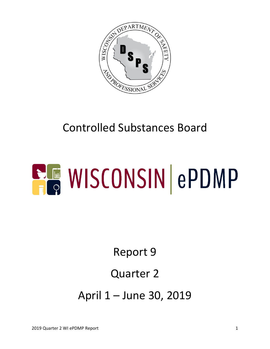

# Controlled Substances Board

# **ELE WISCONSIN ePDMP**

Report 9

#### Quarter 2

April 1 – June 30, 2019

2019 Quarter 2 WI ePDMP Report 1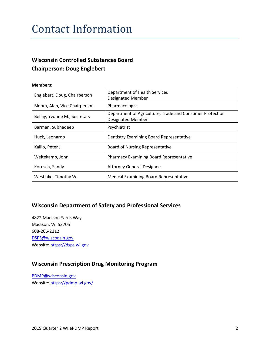#### Contact Information

#### **Wisconsin Controlled Substances Board Chairperson: Doug Englebert**

#### **Members:**

| Englebert, Doug, Chairperson  | Department of Health Services<br><b>Designated Member</b>                            |
|-------------------------------|--------------------------------------------------------------------------------------|
| Bloom, Alan, Vice Chairperson | Pharmacologist                                                                       |
| Bellay, Yvonne M., Secretary  | Department of Agriculture, Trade and Consumer Protection<br><b>Designated Member</b> |
| Barman, Subhadeep             | Psychiatrist                                                                         |
| Huck, Leonardo                | Dentistry Examining Board Representative                                             |
| Kallio, Peter J.              | Board of Nursing Representative                                                      |
| Weitekamp, John               | <b>Pharmacy Examining Board Representative</b>                                       |
| Koresch, Sandy                | <b>Attorney General Designee</b>                                                     |
| Westlake, Timothy W.          | <b>Medical Examining Board Representative</b>                                        |

#### **Wisconsin Department of Safety and Professional Services**

4822 Madison Yards Way Madison, WI 53705 608-266-2112 [DSPS@wisconsin.gov](mailto:DSPS@wisconsin.gov) Website: [https://dsps.wi.gov](https://dsps.wi.gov/)

#### **Wisconsin Prescription Drug Monitoring Program**

[PDMP@wisconsin.gov](mailto:PDMP@wisconsin.gov) Website:<https://pdmp.wi.gov/>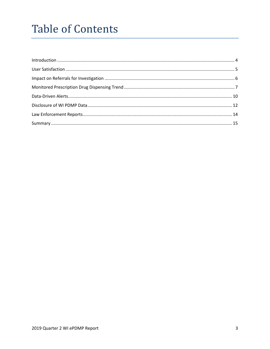## **Table of Contents**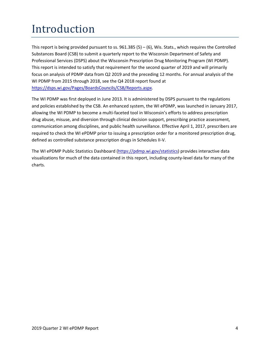# <span id="page-3-0"></span>Introduction

This report is being provided pursuant to ss.  $961.385(5) - (6)$ , Wis. Stats., which requires the Controlled Substances Board (CSB) to submit a quarterly report to the Wisconsin Department of Safety and Professional Services (DSPS) about the Wisconsin Prescription Drug Monitoring Program (WI PDMP). This report is intended to satisfy that requirement for the second quarter of 2019 and will primarily focus on analysis of PDMP data from Q2 2019 and the preceding 12 months. For annual analysis of the WI PDMP from 2015 through 2018, see the Q4 2018 report found at [https://dsps.wi.gov/Pages/BoardsCouncils/CSB/Reports.aspx.](https://dsps.wi.gov/Pages/BoardsCouncils/CSB/Reports.aspx)

The WI PDMP was first deployed in June 2013. It is administered by DSPS pursuant to the regulations and policies established by the CSB. An enhanced system, the WI ePDMP, was launched in January 2017, allowing the WI PDMP to become a multi-faceted tool in Wisconsin's efforts to address prescription drug abuse, misuse, and diversion through clinical decision support, prescribing practice assessment, communication among disciplines, and public health surveillance. Effective April 1, 2017, prescribers are required to check the WI ePDMP prior to issuing a prescription order for a monitored prescription drug, defined as controlled substance prescription drugs in Schedules II-V.

The WI ePDMP Public Statistics Dashboard [\(https://pdmp.wi.gov/statistics\)](https://pdmp.wi.gov/statistics) provides interactive data visualizations for much of the data contained in this report, including county-level data for many of the charts.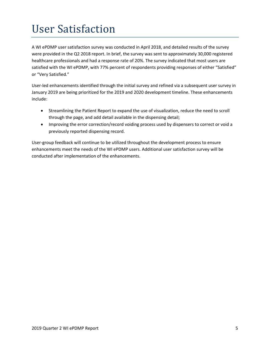## <span id="page-4-0"></span>User Satisfaction

A WI ePDMP user satisfaction survey was conducted in April 2018, and detailed results of the survey were provided in the Q2 2018 report. In brief, the survey was sent to approximately 30,000 registered healthcare professionals and had a response rate of 20%. The survey indicated that most users are satisfied with the WI ePDMP, with 77% percent of respondents providing responses of either "Satisfied" or "Very Satisfied."

User-led enhancements identified through the initial survey and refined via a subsequent user survey in January 2019 are being prioritized for the 2019 and 2020 development timeline. These enhancements include:

- Streamlining the Patient Report to expand the use of visualization, reduce the need to scroll through the page, and add detail available in the dispensing detail;
- Improving the error correction/record voiding process used by dispensers to correct or void a previously reported dispensing record.

User-group feedback will continue to be utilized throughout the development process to ensure enhancements meet the needs of the WI ePDMP users. Additional user satisfaction survey will be conducted after implementation of the enhancements.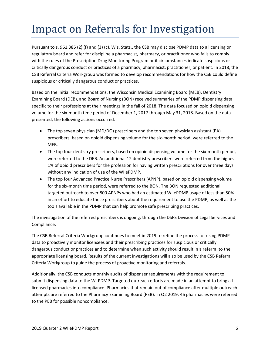## <span id="page-5-0"></span>Impact on Referrals for Investigation

Pursuant to s. 961.385 (2) (f) and (3) (c), Wis. Stats., the CSB may disclose PDMP data to a licensing or regulatory board and refer for discipline a pharmacist, pharmacy, or practitioner who fails to comply with the rules of the Prescription Drug Monitoring Program or if circumstances indicate suspicious or critically dangerous conduct or practices of a pharmacy, pharmacist, practitioner, or patient. In 2018, the CSB Referral Criteria Workgroup was formed to develop recommendations for how the CSB could define suspicious or critically dangerous conduct or practices.

Based on the initial recommendations, the Wisconsin Medical Examining Board (MEB), Dentistry Examining Board (DEB), and Board of Nursing (BON) received summaries of the PDMP dispensing data specific to their professions at their meetings in the fall of 2018. The data focused on opioid dispensing volume for the six-month time period of December 1, 2017 through May 31, 2018. Based on the data presented, the following actions occurred:

- The top seven physician (MD/DO) prescribers and the top seven physician assistant (PA) prescribers, based on opioid dispensing volume for the six-month period, were referred to the MEB.
- The top four dentistry prescribers, based on opioid dispensing volume for the six-month period, were referred to the DEB. An additional 12 dentistry prescribers were referred from the highest 1% of opioid prescribers for the profession for having written prescriptions for over three days without any indication of use of the WI ePDMP.
- The top four Advanced Practice Nurse Prescribers (APNP), based on opioid dispensing volume for the six-month time period, were referred to the BON. The BON requested additional targeted outreach to over 800 APNPs who had an estimated WI ePDMP usage of less than 50% in an effort to educate these prescribers about the requirement to use the PDMP, as well as the tools available in the PDMP that can help promote safe prescribing practices.

The investigation of the referred prescribers is ongoing, through the DSPS Division of Legal Services and Compliance.

The CSB Referral Criteria Workgroup continues to meet in 2019 to refine the process for using PDMP data to proactively monitor licensees and their prescribing practices for suspicious or critically dangerous conduct or practices and to determine when such activity should result in a referral to the appropriate licensing board. Results of the current investigations will also be used by the CSB Referral Criteria Workgroup to guide the process of proactive monitoring and referrals.

Additionally, the CSB conducts monthly audits of dispenser requirements with the requirement to submit dispensing data to the WI PDMP. Targeted outreach efforts are made in an attempt to bring all licensed pharmacies into compliance. Pharmacies that remain out of compliance after multiple outreach attempts are referred to the Pharmacy Examining Board (PEB). In Q2 2019, 46 pharmacies were referred to the PEB for possible noncompliance.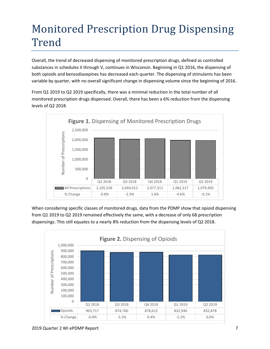## <span id="page-6-0"></span>Monitored Prescription Drug Dispensing Trend

Overall, the trend of decreased dispensing of monitored prescription drugs, defined as controlled substances in schedules II through V, continues in Wisconsin. Beginning in Q1 2016, the dispensing of both opioids and benzodiazepines has decreased each quarter. The dispensing of stimulants has been variable by quarter, with no overall significant change in dispensing volume since the beginning of 2016.

From Q1 2019 to Q2 2019 specifically, there was a minimal reduction in the total number of all monitored prescription drugs dispensed. Overall, there has been a 6% reduction from the dispensing levels of Q2 2018.



When considering specific classes of monitored drugs, data from the PDMP show that opioid dispensing from Q1 2019 to Q2 2019 remained effectively the same, with a decrease of only 68 prescription dispensings. This still equates to a nearly 8% reduction from the dispensing levels of Q2 2018.



<sup>2019</sup> Quarter 2 WI ePDMP Report 7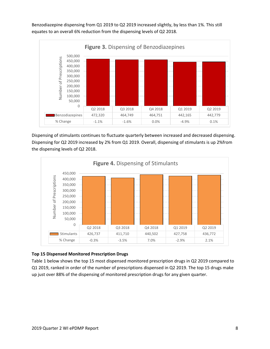Benzodiazepine dispensing from Q1 2019 to Q2 2019 increased slightly, by less than 1%. This still equates to an overall 6% reduction from the dispensing levels of Q2 2018.



Dispensing of stimulants continues to fluctuate quarterly between increased and decreased dispensing. Dispensing for Q2 2019 increased by 2% from Q1 2019. Overall, dispensing of stimulants is up 2%from the dispensing levels of Q2 2018.



#### **Top 15 Dispensed Monitored Prescription Drugs**

Table 1 below shows the top 15 most dispensed monitored prescription drugs in Q2 2019 compared to Q1 2019, ranked in order of the number of prescriptions dispensed in Q2 2019. The top 15 drugs make up just over 88% of the dispensing of monitored prescription drugs for any given quarter.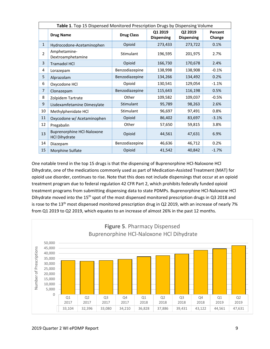| Table 1. Top 15 Dispensed Monitored Prescription Drugs by Dispensing Volume |                                                           |                   |                              |                              |                   |  |  |  |
|-----------------------------------------------------------------------------|-----------------------------------------------------------|-------------------|------------------------------|------------------------------|-------------------|--|--|--|
|                                                                             | <b>Drug Name</b>                                          | <b>Drug Class</b> | Q1 2019<br><b>Dispensing</b> | Q2 2019<br><b>Dispensing</b> | Percent<br>Change |  |  |  |
| $\mathbf{1}$                                                                | Hydrocodone-Acetaminophen                                 | Opioid            | 273,433                      | 273,722                      | 0.1%              |  |  |  |
| $\overline{2}$                                                              | Amphetamine-<br>Dextroamphetamine                         | Stimulant         | 196,595                      | 201,975                      | 2.7%              |  |  |  |
| 3                                                                           | <b>Tramadol HCl</b>                                       | Opioid            | 166,730                      | 170,678                      | 2.4%              |  |  |  |
| 4                                                                           | Lorazepam                                                 | Benzodiazepine    | 138,998                      | 138,908                      | $-0.1%$           |  |  |  |
| 5                                                                           | Alprazolam                                                | Benzodiazepine    | 134,266                      | 134,492                      | 0.2%              |  |  |  |
| 6                                                                           | Oxycodone HCl                                             | Opioid            | 130,541                      | 129,054                      | $-1.1%$           |  |  |  |
| $\overline{7}$                                                              | Clonazepam                                                | Benzodiazepine    | 115,643                      | 116,198                      | 0.5%              |  |  |  |
| 8                                                                           | Zolpidem Tartrate                                         | Other             | 109,582                      | 109,037                      | $-0.5%$           |  |  |  |
| 9                                                                           | Lisdexamfetamine Dimesylate                               | Stimulant         | 95,789                       | 98,263                       | 2.6%              |  |  |  |
| 10                                                                          | Methylphenidate HCl                                       | Stimulant         | 96,697                       | 97,491                       | 0.8%              |  |  |  |
| 11                                                                          | Oxycodone w/ Acetaminophen                                | Opioid            | 86,402                       | 83,697                       | $-3.1%$           |  |  |  |
| 12                                                                          | Pregabalin                                                | Other             | 57,650                       | 59,815                       | 3.8%              |  |  |  |
| 13                                                                          | <b>Buprenorphine HCI-Naloxone</b><br><b>HCl Dihydrate</b> | Opioid            | 44,561                       | 47,631                       | 6.9%              |  |  |  |
| 14                                                                          | Diazepam                                                  | Benzodiazepine    | 46,636                       | 46,712                       | 0.2%              |  |  |  |
| 15                                                                          | Morphine Sulfate                                          | Opioid            | 41,542                       | 40,842                       | $-1.7%$           |  |  |  |

One notable trend in the top 15 drugs is that the dispensing of Buprenorphine HCl-Naloxone HCl Dihydrate, one of the medications commonly used as part of Medication-Assisted Treatment (MAT) for opioid use disorder, continues to rise. Note that this does not include dispensings that occur at an opioid treatment program due to federal regulation 42 CFR Part 2, which prohibits federally funded opioid treatment programs from submitting dispensing data to state PDMPs. Buprenorphine HCl-Naloxone HCl Dihydrate moved into the 15<sup>th</sup> spot of the most dispensed monitored prescription drugs in Q3 2018 and is rose to the 13<sup>th</sup> most dispensed monitored prescription drug in Q2 2019, with an increase of nearly 7% from Q1 2019 to Q2 2019, which equates to an increase of almost 26% in the past 12 months.

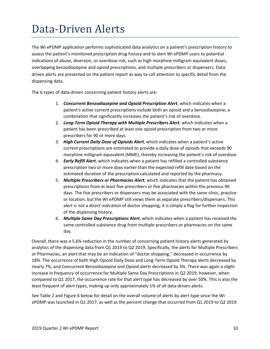## <span id="page-9-0"></span>Data-Driven Alerts

The WI ePDMP application performs sophisticated data analytics on a patient's prescription history to assess the patient's monitored prescription drug history and to alert WI ePDMP users to potential indications of abuse, diversion, or overdose risk, such as high morphine milligram equivalent doses, overlapping benzodiazepine and opioid prescriptions, and multiple prescribers or dispensers. Datadriven alerts are presented on the patient report as way to call attention to specific detail from the dispensing data.

The 6 types of data-driven concerning patient history alerts are:

- 1. *Concurrent Benzodiazepine and Opioid Prescription Alert*, which indicates when a patient's active current prescriptions include both an opioid and a benzodiazepine, a combination that significantly increases the patient's risk of overdose.
- 2. *Long-Term Opioid Therapy with Multiple Prescribers Alert*, which indicates when a patient has been prescribed at least one opioid prescription from two or more prescribers for 90 or more days.
- 3. *High Current Daily Dose of Opioids Alert*, which indicates when a patient's active current prescriptions are estimated to provide a daily dose of opioids that exceeds 90 morphine milligram equivalent (MME), thereby increasing the patient's risk of overdose.
- 4. *Early Refill Alert*, which indicates when a patient has refilled a controlled substance prescription two or more days earlier than the expected refill date based on the estimated duration of the prescription calculated and reported by the pharmacy.
- 5. *Multiple Prescribers or Pharmacies Alert*, which indicates that the patient has obtained prescriptions from at least five prescribers or five pharmacies within the previous 90 days. The five prescribers or dispensers may be associated with the same clinic, practice or location, but the WI ePDMP still views them as separate prescribers/dispensers. This alert is not a direct indication of doctor shopping; it is simply a flag for further inspection of the dispensing history.
- 6. *Multiple Same Day Prescriptions Alert*, which indicates when a patient has received the same controlled substance drug from multiple prescribers or pharmacies on the same day.

Overall, there was a 5.6% reduction in the number of concerning patient history alerts generated by analytics of the dispensing data from Q1 2019 to Q2 2019. Specifically, the alerts for Multiple Prescribers or Pharmacies, an alert that may be an indication of "doctor shopping," decreased in occurrence by 18%. The occurrence of both High Opioid Daily Dose and Long-Term Opioid Therapy alerts decreased by nearly 7%, and Concurrent Benzodiazepine and Opioid alerts decreased by 3%. There was again a slight increase in frequency of occurrence for Multiple Same Day Prescriptions in Q2 2019; however, when compared to Q1 2017, the occurrence rate for that alert type has decreased by over 50%. This is also the least frequent of alert types, making up only approximately 1% of all data-driven alerts.

See Table 2 and Figure 6 below for detail on the overall volume of alerts by alert type since the WI ePDMP was launched in Q1 2017, as well as the percent change that occurred from Q1 2019 to Q2 2019.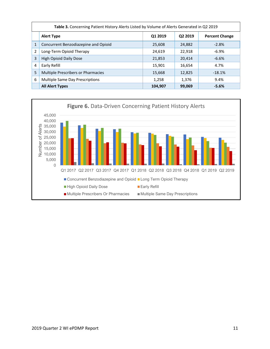|   | Table 3. Concerning Patient History Alerts Listed by Volume of Alerts Generated in Q2 2019 |         |                     |                       |  |  |  |  |  |
|---|--------------------------------------------------------------------------------------------|---------|---------------------|-----------------------|--|--|--|--|--|
|   | <b>Alert Type</b>                                                                          | Q1 2019 | Q <sub>2</sub> 2019 | <b>Percent Change</b> |  |  |  |  |  |
| 1 | Concurrent Benzodiazepine and Opioid                                                       | 25,608  | 24,882              | $-2.8%$               |  |  |  |  |  |
| 2 | Long-Term Opioid Therapy                                                                   | 24,619  | 22,918              | $-6.9\%$              |  |  |  |  |  |
| 3 | <b>High Opioid Daily Dose</b>                                                              | 21,853  | 20,414              | $-6.6%$               |  |  |  |  |  |
| 4 | Early Refill                                                                               | 15,901  | 16,654              | 4.7%                  |  |  |  |  |  |
| 5 | Multiple Prescribers or Pharmacies                                                         | 15,668  | 12,825              | $-18.1%$              |  |  |  |  |  |
| 6 | Multiple Same Day Prescriptions                                                            | 1,258   | 1,376               | 9.4%                  |  |  |  |  |  |
|   | <b>All Alert Types</b>                                                                     | 104,907 | 99,069              | $-5.6%$               |  |  |  |  |  |

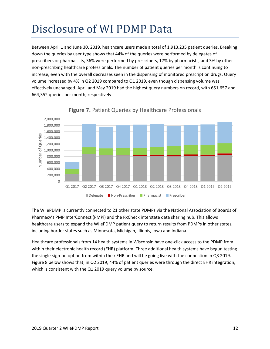# <span id="page-11-0"></span>Disclosure of WI PDMP Data

Between April 1 and June 30, 2019, healthcare users made a total of 1,913,235 patient queries. Breaking down the queries by user type shows that 44% of the queries were performed by delegates of prescribers or pharmacists, 36% were performed by prescribers, 17% by pharmacists, and 3% by other non-prescribing healthcare professionals. The number of patient queries per month is continuing to increase, even with the overall decreases seen in the dispensing of monitored prescription drugs. Query volume increased by 4% in Q2 2019 compared to Q1 2019, even though dispensing volume was effectively unchanged. April and May 2019 had the highest query numbers on record, with 651,657 and 664,352 queries per month, respectively.



The WI ePDMP is currently connected to 21 other state PDMPs via the National Association of Boards of Pharmacy's PMP InterConnect (PMPi) and the RxCheck interstate data sharing hub. This allows healthcare users to expand the WI ePDMP patient query to return results from PDMPs in other states, including border states such as Minnesota, Michigan, Illinois, Iowa and Indiana.

Healthcare professionals from 14 health systems in Wisconsin have one-click access to the PDMP from within their electronic health record (EHR) platform. Three additional health systems have begun testing the single-sign-on option from within their EHR and will be going live with the connection in Q3 2019. Figure 8 below shows that, in Q2 2019, 44% of patient queries were through the direct EHR integration, which is consistent with the Q1 2019 query volume by source.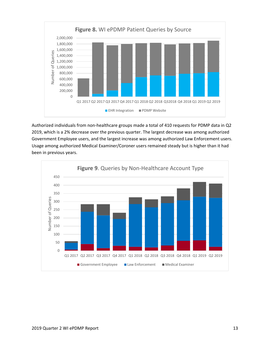

Authorized individuals from non-healthcare groups made a total of 410 requests for PDMP data in Q2 2019, which is a 2% decrease over the previous quarter. The largest decrease was among authorized Government Employee users, and the largest increase was among authorized Law Enforcement users. Usage among authorized Medical Examiner/Coroner users remained steady but is higher than it had been in previous years.

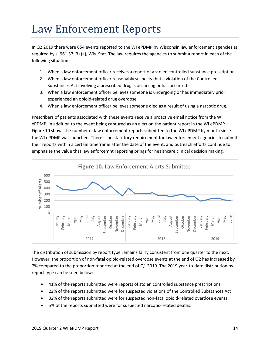### <span id="page-13-0"></span>Law Enforcement Reports

In Q2 2019 there were 654 events reported to the WI ePDMP by Wisconsin law enforcement agencies as required by s. [961.37 \(3\) \(a\),](https://docs.legis.wisconsin.gov/document/statutes/961.37(3)(a)) Wis. Stat. The law requires the agencies to submit a report in each of the following situations:

- 1. When a law enforcement officer receives a report of a stolen controlled substance prescription.
- 2. When a law enforcement officer reasonably suspects that a violation of the Controlled Substances Act involving a prescribed drug is occurring or has occurred.
- 3. When a law enforcement officer believes someone is undergoing or has immediately prior experienced an opioid-related drug overdose.
- 4. When a law enforcement officer believes someone died as a result of using a narcotic drug.

Prescribers of patients associated with these events receive a proactive email notice from the WI ePDMP, in addition to the event being captured as an alert on the patient report in the WI ePDMP. Figure 10 shows the number of law enforcement reports submitted to the WI ePDMP by month since the WI ePDMP was launched. There is no statutory requirement for law enforcement agencies to submit their reports within a certain timeframe after the date of the event, and outreach efforts continue to emphasize the value that law enforcemnt reporting brings for healthcare clinical decision making.



The distribution of submission by report type remains fairly consistent from one quarter to the next. However, the proportion of non-fatal opioid-related overdose events at the end of Q2 has increased by 7% compared to the proportion reported at the end of Q1 2019. The 2019 year-to-date distribution by report type can be seen below:

- 41% of the reports submitted were reports of stolen controlled substance prescriptions
- 22% of the reports submitted were for suspected violations of the Controlled Substances Act
- 32% of the reports submitted were for suspected non-fatal opioid-related overdose events
- 5% of the reports submitted were for suspected narcotic-related deaths.